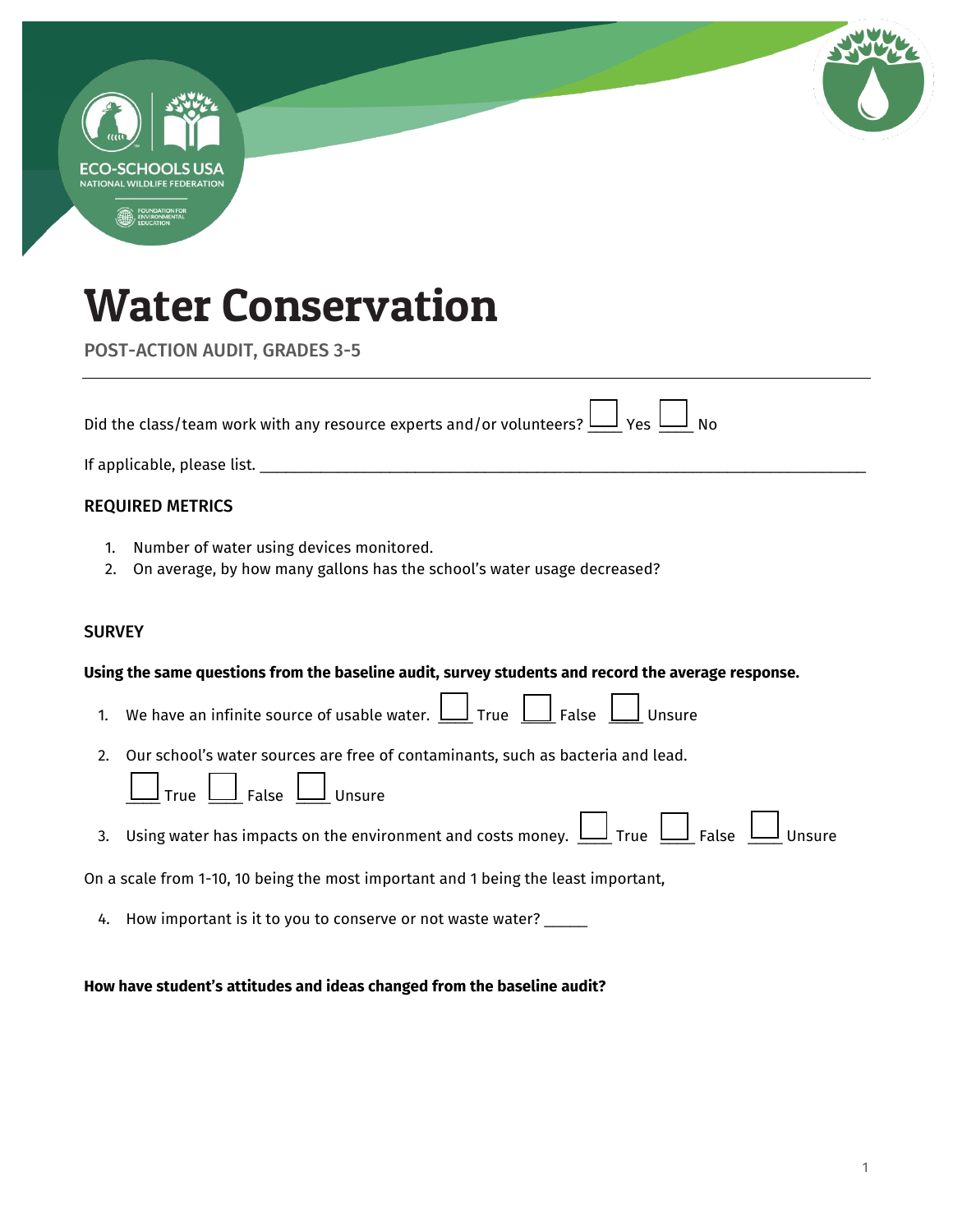|               | ECO-SCHOOLS USA<br>NATIONAL WILDLIFF FEDERATION                                                                                                       |
|---------------|-------------------------------------------------------------------------------------------------------------------------------------------------------|
|               |                                                                                                                                                       |
|               |                                                                                                                                                       |
|               | <b>Water Conservation</b>                                                                                                                             |
|               | <b>POST-ACTION AUDIT, GRADES 3-5</b>                                                                                                                  |
|               | Did the class/team work with any resource experts and/or volunteers? $\underline{\sqcup}$ Yes $\underline{\sqcup}$ No                                 |
|               |                                                                                                                                                       |
|               | <b>REQUIRED METRICS</b>                                                                                                                               |
| 1.<br>2.      | Number of water using devices monitored.<br>On average, by how many gallons has the school's water usage decreased?                                   |
| <b>SURVEY</b> |                                                                                                                                                       |
|               | Using the same questions from the baseline audit, survey students and record the average response.                                                    |
| 1.            | We have an infinite source of usable water. $\Box$ True $\Box$ False $\Box$ Unsure                                                                    |
|               | 2. Our school's water sources are free of contaminants, such as bacteria and lead.                                                                    |
|               | $\underline{\perp}$ Unsure<br><u>」</u> False <u>l</u><br>True                                                                                         |
| 3.            | Using water has impacts on the environment and costs money. $\underline{\bigsqcup}$ True $\underline{\bigsqcup}$ False $\underline{\bigsqcup}$ Unsure |
|               | On a scale from 1-10, 10 being the most important and 1 being the least important,                                                                    |
|               |                                                                                                                                                       |

## **How have student's attitudes and ideas changed from the baseline audit?**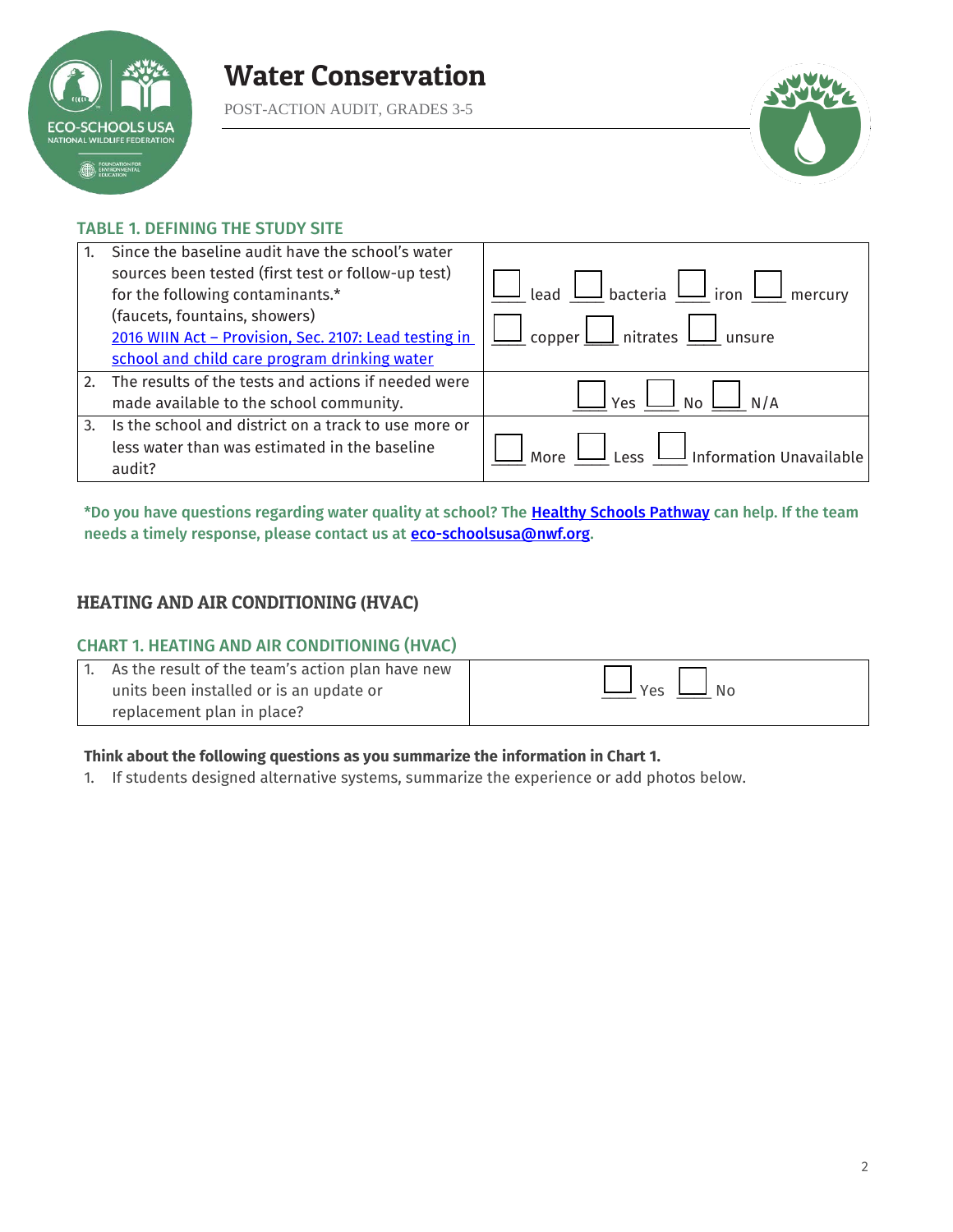

POST-ACTION AUDIT, GRADES 3-5



### TABLE 1. DEFINING THE STUDY SITE

|    | Since the baseline audit have the school's water      |                                                                |
|----|-------------------------------------------------------|----------------------------------------------------------------|
|    | sources been tested (first test or follow-up test)    |                                                                |
|    | for the following contaminants.*                      | Lead $\bigsqcup$ bacteria $\bigsqcup$ iron $\bigsqcup$ mercury |
|    | (faucets, fountains, showers)                         |                                                                |
|    | 2016 WIIN Act - Provision, Sec. 2107: Lead testing in | $\perp$ nitrates $\perp$<br>copper $L$                         |
|    | school and child care program drinking water          |                                                                |
| 2. | The results of the tests and actions if needed were   |                                                                |
|    | made available to the school community.               | No<br>Yes                                                      |
| 3. | Is the school and district on a track to use more or  |                                                                |
|    | less water than was estimated in the baseline         | $\overline{\phantom{a}}$ Information Unavailable<br>Less       |
|    | audit?                                                |                                                                |

\*Do you have questions regarding water quality at school? The [Healthy Schools Pathway c](https://www.nwf.org/Eco-Schools-USA/Pathways/Healthy-Schools)an help. If the team needs a timely response, please contact us at **eco-schoolsusa@nwf.org**.

## HEATING AND AIR CONDITIONING (HVAC)

### CHART 1. HEATING AND AIR CONDITIONING (HVAC)

| 1. As the result of the team's action plan have new |                         |
|-----------------------------------------------------|-------------------------|
| units been installed or is an update or             | $\Box$ No<br><b>Yes</b> |
| replacement plan in place?                          |                         |

### **Think about the following questions as you summarize the information in Chart 1.**

1. If students designed alternative systems, summarize the experience or add photos below.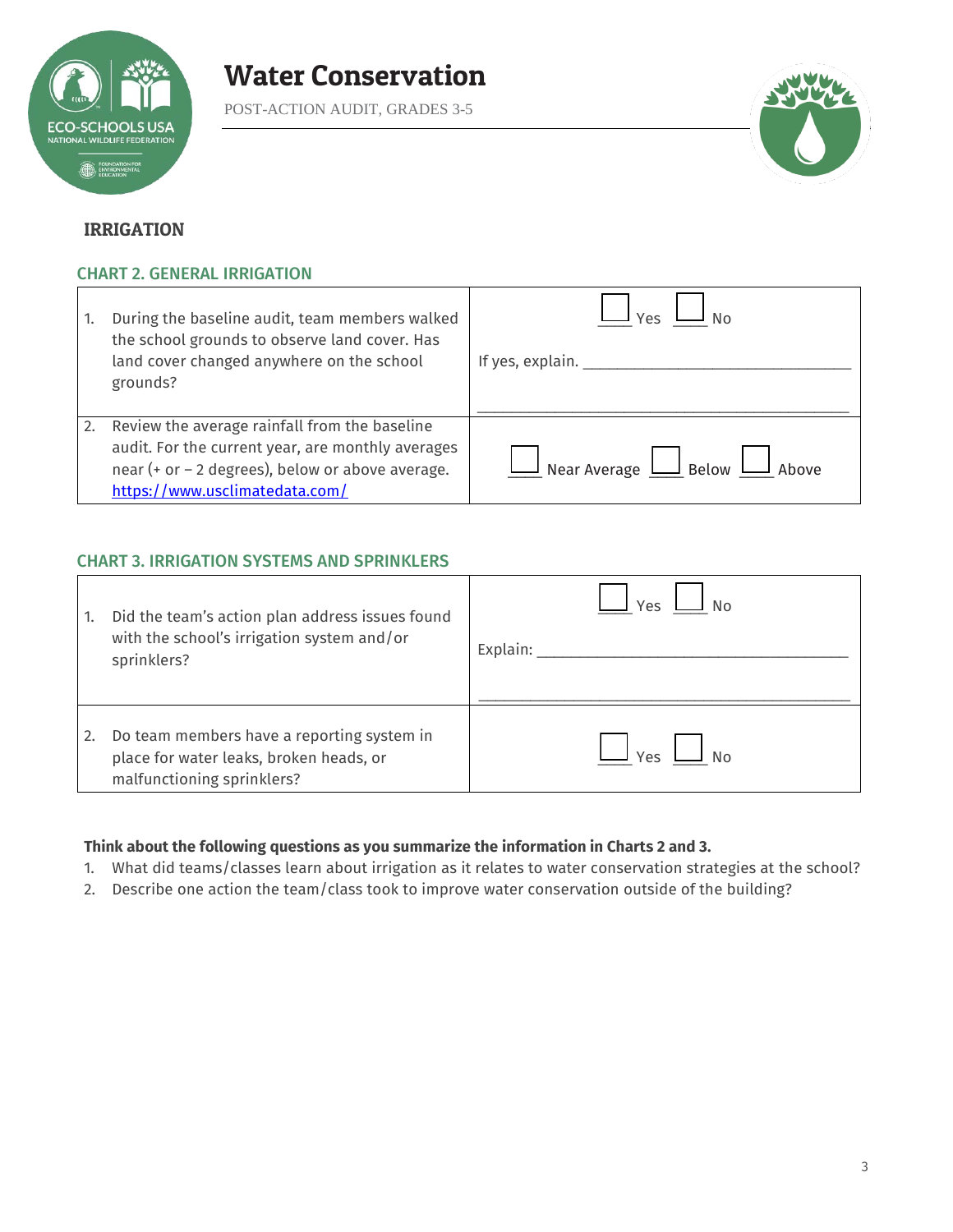

POST-ACTION AUDIT, GRADES 3-5



### IRRIGATION

### CHART 2. GENERAL IRRIGATION

| -1. | During the baseline audit, team members walked<br>the school grounds to observe land cover. Has<br>land cover changed anywhere on the school<br>grounds?                                 | If yes, explain. $\_\_$                             |
|-----|------------------------------------------------------------------------------------------------------------------------------------------------------------------------------------------|-----------------------------------------------------|
| 2.  | Review the average rainfall from the baseline<br>audit. For the current year, are monthly averages<br>near (+ or - 2 degrees), below or above average.<br>https://www.usclimatedata.com/ | $\perp$ Near Average $\perp$ Below $\perp$<br>Ahove |

### CHART 3. IRRIGATION SYSTEMS AND SPRINKLERS

| 1. | Did the team's action plan address issues found<br>with the school's irrigation system and/or<br>sprinklers?        | Υρς<br>Explain: |
|----|---------------------------------------------------------------------------------------------------------------------|-----------------|
| 2. | Do team members have a reporting system in<br>place for water leaks, broken heads, or<br>malfunctioning sprinklers? | Υρς             |

#### **Think about the following questions as you summarize the information in Charts 2 and 3.**

- 1. What did teams/classes learn about irrigation as it relates to water conservation strategies at the school?
- 2. Describe one action the team/class took to improve water conservation outside of the building?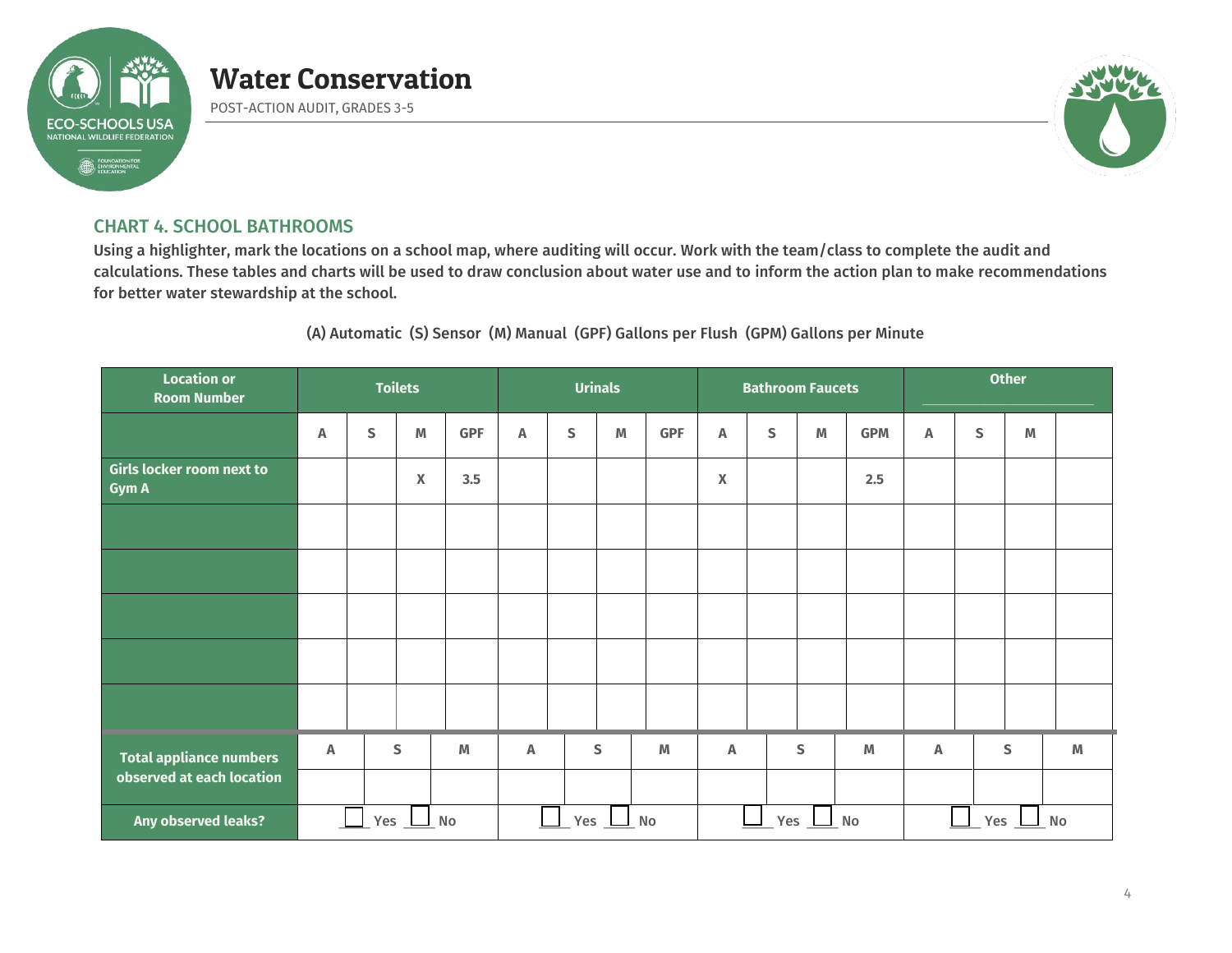

POST-ACTION AUDIT, GRADES 3-5



### CHART 4. SCHOOL BATHROOMS

Using a highlighter, mark the locations on a school map, where auditing will occur. Work with the team/class to complete the audit and calculations. These tables and charts will be used to draw conclusion about water use and to inform the action plan to make recommendations for better water stewardship at the school.

(A) Automatic (S) Sensor (M) Manual (GPF) Gallons per Flush (GPM) Gallons per Minute

| <b>Location or</b><br><b>Room Number</b>         | <b>Toilets</b> |                |                  |            | <b>Urinals</b>              |             |              |            |                  | <b>Bathroom Faucets</b> |   |                                                                                       | <b>Other</b> |   |           |   |
|--------------------------------------------------|----------------|----------------|------------------|------------|-----------------------------|-------------|--------------|------------|------------------|-------------------------|---|---------------------------------------------------------------------------------------|--------------|---|-----------|---|
|                                                  | Α              | S              | M                | <b>GPF</b> | A                           | $\mathsf S$ | $\mathbb M$  | <b>GPF</b> | A                | $\mathsf S$             | M | <b>GPM</b>                                                                            | Α            | S | M         |   |
| <b>Girls locker room next to</b><br><b>Gym A</b> |                |                | $\boldsymbol{X}$ | 3.5        |                             |             |              |            | X                |                         |   | 2.5                                                                                   |              |   |           |   |
|                                                  |                |                |                  |            |                             |             |              |            |                  |                         |   |                                                                                       |              |   |           |   |
|                                                  |                |                |                  |            |                             |             |              |            |                  |                         |   |                                                                                       |              |   |           |   |
|                                                  |                |                |                  |            |                             |             |              |            |                  |                         |   |                                                                                       |              |   |           |   |
|                                                  |                |                |                  |            |                             |             |              |            |                  |                         |   |                                                                                       |              |   |           |   |
|                                                  |                |                |                  |            |                             |             |              |            |                  |                         |   |                                                                                       |              |   |           |   |
| <b>Total appliance numbers</b>                   | Α              |                | S                | M          | A                           |             | $\mathsf{s}$ | M          | Α                |                         | S | $\mathsf{M}% _{T}=\mathsf{M}_{T}\!\left( a,b\right) ,\ \mathsf{M}_{T}=\mathsf{M}_{T}$ | Α            |   | ${\sf S}$ | M |
| observed at each location                        |                |                |                  |            |                             |             |              |            |                  |                         |   |                                                                                       |              |   |           |   |
| Any observed leaks?                              |                | Yes $\perp$ No |                  |            | $\mathbb{R}^n$<br>Yes<br>No |             |              |            | Yes<br>$\Box$ No |                         |   |                                                                                       | Yes<br>No    |   |           |   |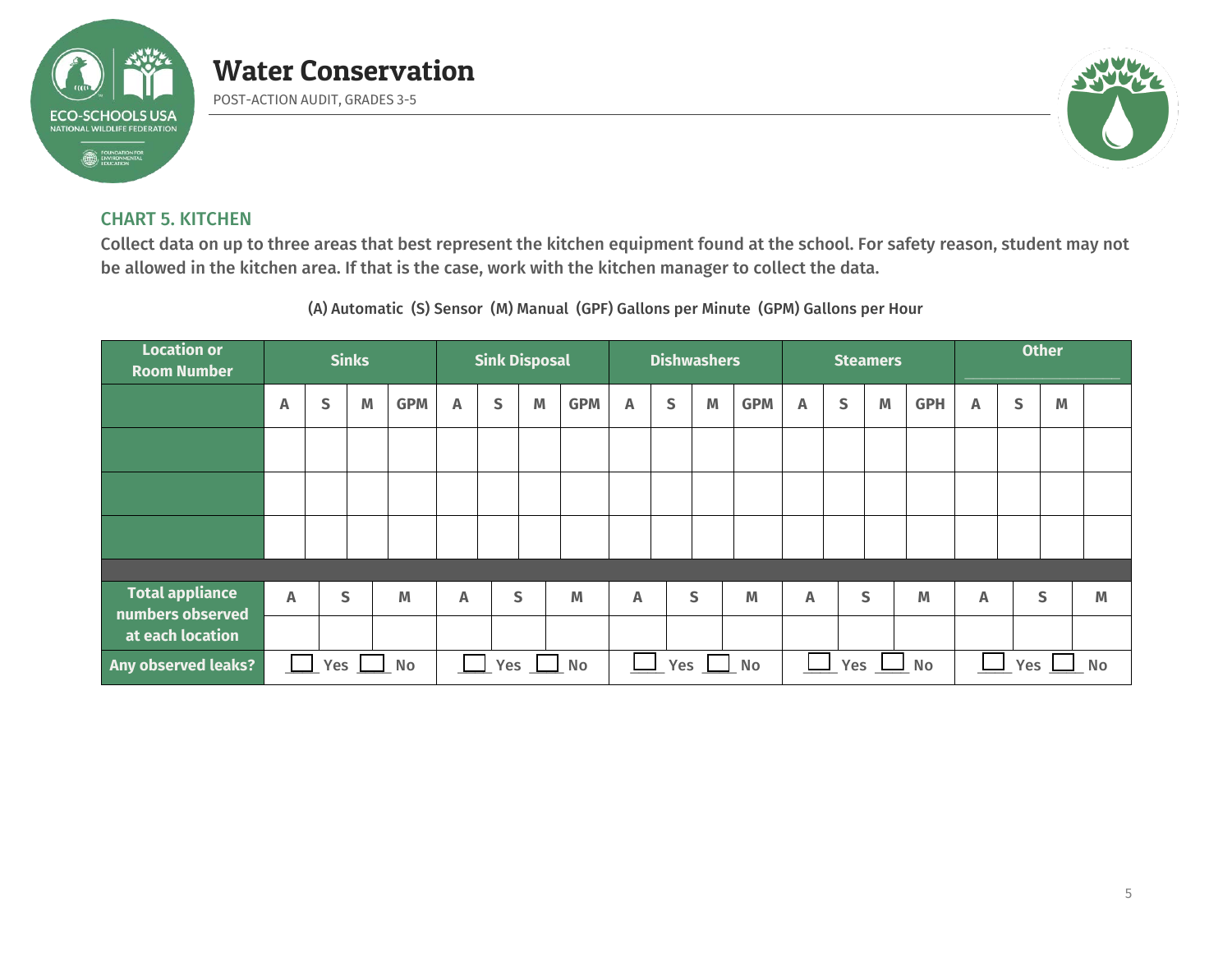

POST-ACTION AUDIT, GRADES 3-5



### CHART 5. KITCHEN

Collect data on up to three areas that best represent the kitchen equipment found at the school. For safety reason, student may not be allowed in the kitchen area. If that is the case, work with the kitchen manager to collect the data.

(A) Automatic (S) Sensor (M) Manual (GPF) Gallons per Minute (GPM) Gallons per Hour

| <b>Location or</b><br><b>Room Number</b>   | <b>Sinks</b> |     |   |            | <b>Sink Disposal</b>      |   |   | <b>Dishwashers</b> |   |   |                  | <b>Steamers</b> |                |   |                  | <b>Other</b> |   |   |              |   |
|--------------------------------------------|--------------|-----|---|------------|---------------------------|---|---|--------------------|---|---|------------------|-----------------|----------------|---|------------------|--------------|---|---|--------------|---|
|                                            | Α            | S   | M | <b>GPM</b> | A                         | S | M | <b>GPM</b>         | A | S | M                | <b>GPM</b>      | A              | S | M                | <b>GPH</b>   | Α | S | M            |   |
|                                            |              |     |   |            |                           |   |   |                    |   |   |                  |                 |                |   |                  |              |   |   |              |   |
|                                            |              |     |   |            |                           |   |   |                    |   |   |                  |                 |                |   |                  |              |   |   |              |   |
|                                            |              |     |   |            |                           |   |   |                    |   |   |                  |                 |                |   |                  |              |   |   |              |   |
|                                            |              |     |   |            |                           |   |   |                    |   |   |                  |                 |                |   |                  |              |   |   |              |   |
| <b>Total appliance</b><br>numbers observed | A            |     | S | M          | $\boldsymbol{\mathsf{A}}$ |   | S | M                  | A |   | S                | M               | $\overline{A}$ |   | S                | M            | Α |   | $\mathsf{S}$ | M |
| at each location                           |              |     |   |            |                           |   |   |                    |   |   |                  |                 |                |   |                  |              |   |   |              |   |
| Any observed leaks?                        |              | Yes |   | No         | $\Box$ Yes $\Box$<br>No   |   |   | Yes<br>No          |   |   | Yes<br>$\Box$ No |                 |                |   | <b>No</b><br>Yes |              |   |   |              |   |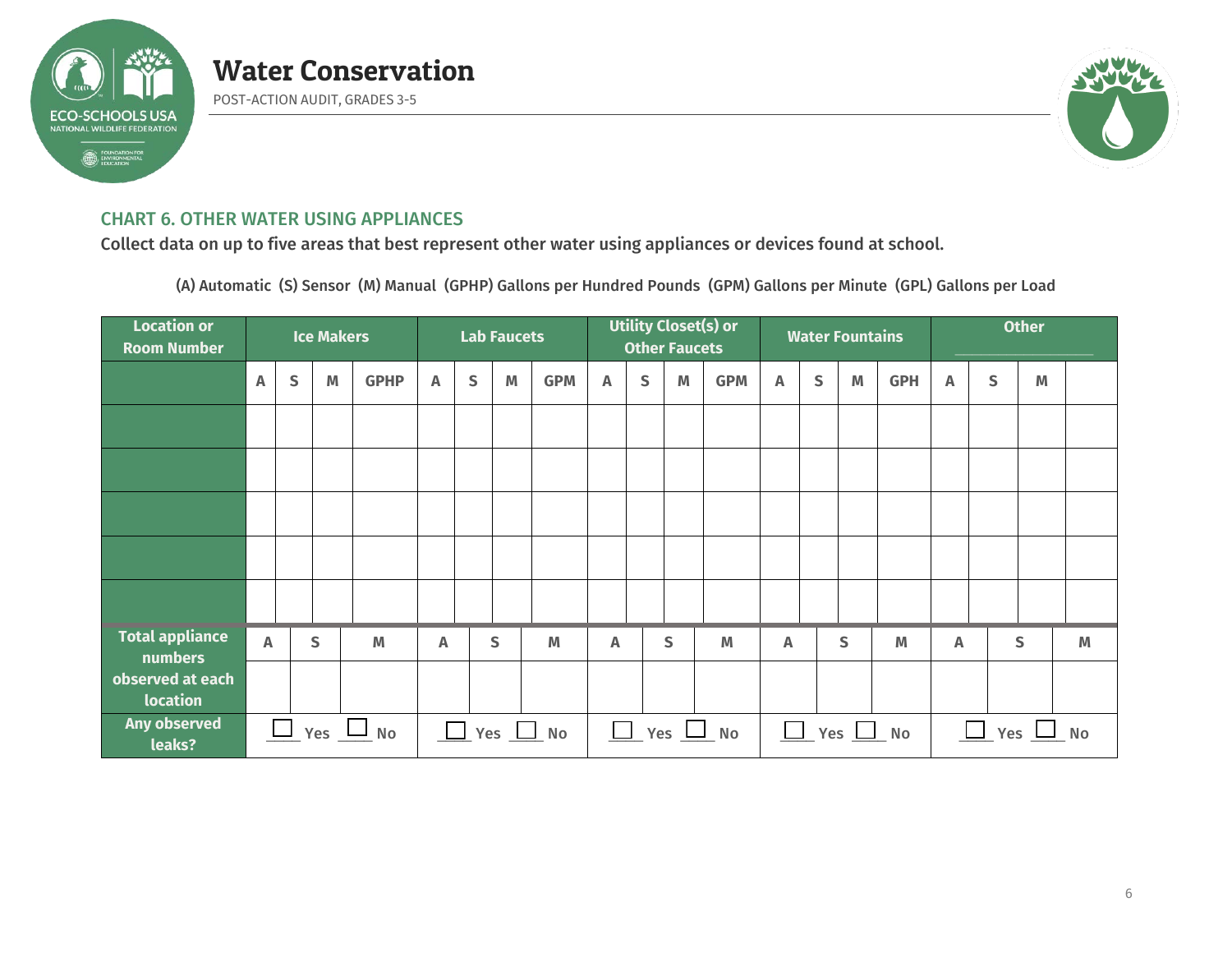

POST-ACTION AUDIT, GRADES 3-5



### CHART 6. OTHER WATER USING APPLIANCES

Collect data on up to five areas that best represent other water using appliances or devices found at school.

(A) Automatic (S) Sensor (M) Manual (GPHP) Gallons per Hundred Pounds (GPM) Gallons per Minute (GPL) Gallons per Load

| <b>Location or</b><br><b>Room Number</b> | <b>Ice Makers</b>         |        |   | <b>Lab Faucets</b> |                              |   |                                                                                       | Utility Closet(s) or<br><b>Other Faucets</b> |                           |   |   | <b>Water Fountains</b> |   |              |   | <b>Other</b>                                   |   |   |                                                                                                            |                         |
|------------------------------------------|---------------------------|--------|---|--------------------|------------------------------|---|---------------------------------------------------------------------------------------|----------------------------------------------|---------------------------|---|---|------------------------|---|--------------|---|------------------------------------------------|---|---|------------------------------------------------------------------------------------------------------------|-------------------------|
|                                          | $\mathsf{A}$              | S      | M | <b>GPHP</b>        | $\mathbb A$                  | S | $\mathsf{M}% _{T}=\mathsf{M}_{T}\!\left( a,b\right) ,\ \mathsf{M}_{T}=\mathsf{M}_{T}$ | <b>GPM</b>                                   | $\boldsymbol{\mathsf{A}}$ | S | M | <b>GPM</b>             | A | $\mathsf{S}$ | M | <b>GPH</b>                                     | A | S | $\mathsf{M}% _{T}=\mathsf{M}_{T}\!\left( a,b\right) ,\ \mathsf{M}_{T}=\mathsf{M}_{T}\!\left( a,b\right) ,$ |                         |
|                                          |                           |        |   |                    |                              |   |                                                                                       |                                              |                           |   |   |                        |   |              |   |                                                |   |   |                                                                                                            |                         |
|                                          |                           |        |   |                    |                              |   |                                                                                       |                                              |                           |   |   |                        |   |              |   |                                                |   |   |                                                                                                            |                         |
|                                          |                           |        |   |                    |                              |   |                                                                                       |                                              |                           |   |   |                        |   |              |   |                                                |   |   |                                                                                                            |                         |
|                                          |                           |        |   |                    |                              |   |                                                                                       |                                              |                           |   |   |                        |   |              |   |                                                |   |   |                                                                                                            |                         |
|                                          |                           |        |   |                    |                              |   |                                                                                       |                                              |                           |   |   |                        |   |              |   |                                                |   |   |                                                                                                            |                         |
| <b>Total appliance</b><br>numbers        | $\boldsymbol{\mathsf{A}}$ |        | S | M                  | A                            |   | S                                                                                     | M                                            | Α                         |   | S | M                      | Α |              | S | M                                              | Α |   | $\mathsf{S}$                                                                                               | $\mathsf{M}\phantom{M}$ |
| observed at each<br>location             |                           |        |   |                    |                              |   |                                                                                       |                                              |                           |   |   |                        |   |              |   |                                                |   |   |                                                                                                            |                         |
| Any observed<br>leaks?                   |                           | $\Box$ |   | $_Y$ es $\perp$ No | $\sqrt{2}$ Yes $\sqrt{2}$ No |   |                                                                                       |                                              | $\Box$ Yes $\Box$ No      |   |   | $\Box$ Yes $\Box$ No   |   |              |   | $\frac{\Box}{\Box}$ Yes $\frac{\Box}{\Box}$ No |   |   |                                                                                                            |                         |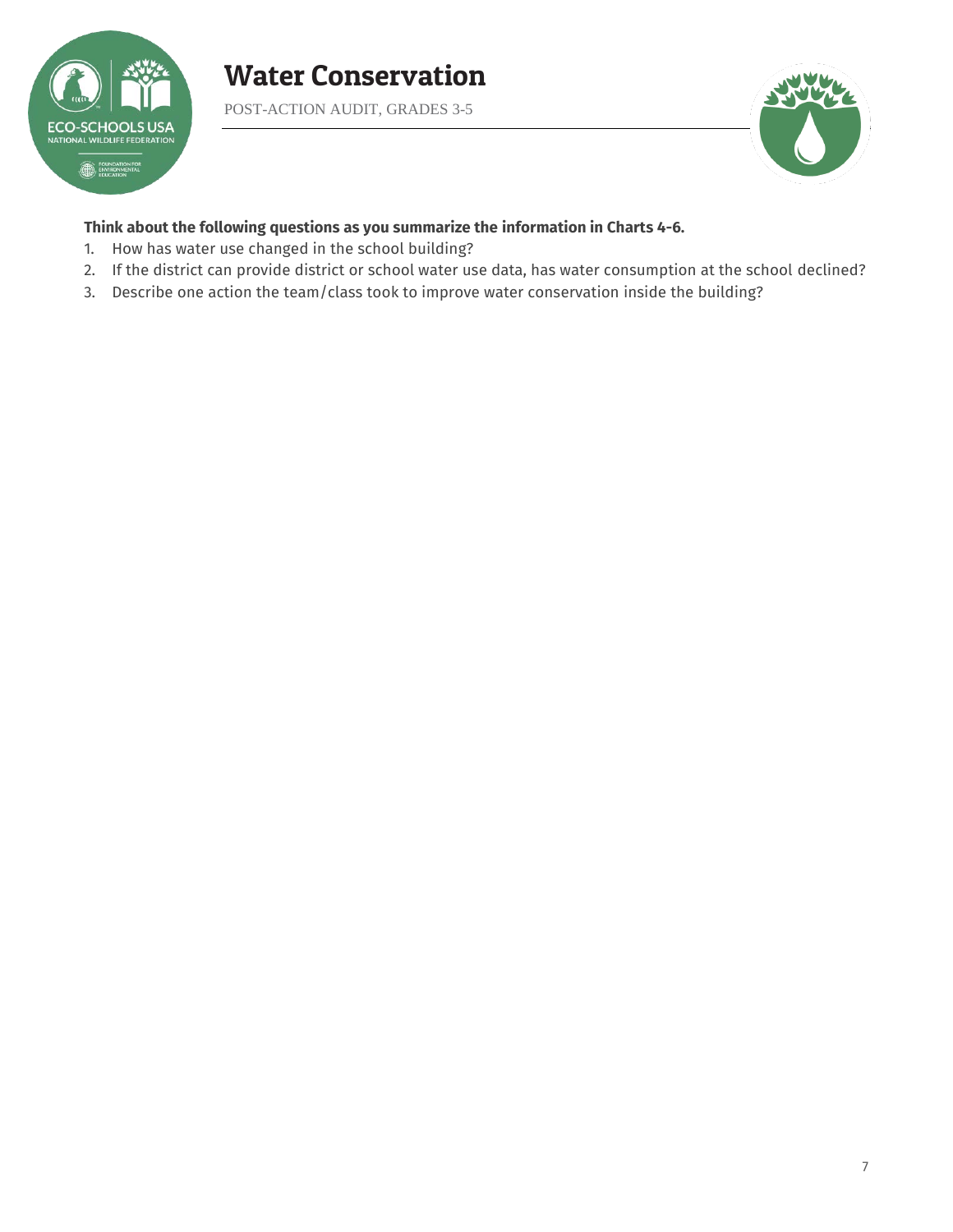

POST-ACTION AUDIT, GRADES 3-5



### **Think about the following questions as you summarize the information in Charts 4-6.**

- 1. How has water use changed in the school building?
- 2. If the district can provide district or school water use data, has water consumption at the school declined?
- 3. Describe one action the team/class took to improve water conservation inside the building?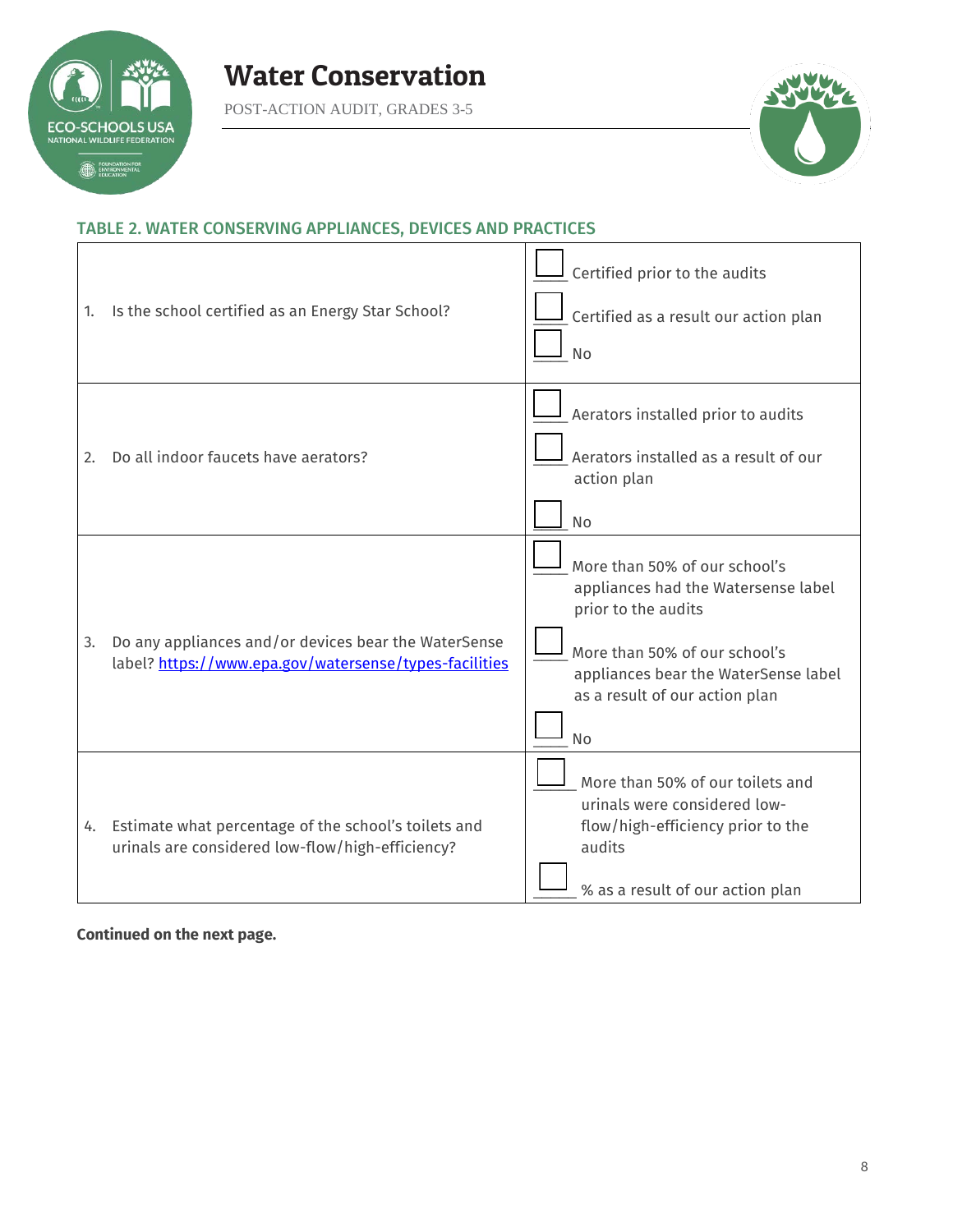

POST-ACTION AUDIT, GRADES 3-5



٦

# TABLE 2. WATER CONSERVING APPLIANCES, DEVICES AND PRACTICES

| 1. | Is the school certified as an Energy Star School?                                                              | $\perp$ Certified prior to the audits<br>Certified as a result our action plan<br><b>No</b>                                                                                                                         |
|----|----------------------------------------------------------------------------------------------------------------|---------------------------------------------------------------------------------------------------------------------------------------------------------------------------------------------------------------------|
| 2. | Do all indoor faucets have aerators?                                                                           | Aerators installed prior to audits<br>Aerators installed as a result of our<br>action plan<br><b>No</b>                                                                                                             |
| 3. | Do any appliances and/or devices bear the WaterSense<br>label? https://www.epa.gov/watersense/types-facilities | More than 50% of our school's<br>appliances had the Watersense label<br>prior to the audits<br>More than 50% of our school's<br>appliances bear the WaterSense label<br>as a result of our action plan<br><b>No</b> |
|    | 4. Estimate what percentage of the school's toilets and<br>urinals are considered low-flow/high-efficiency?    | More than 50% of our toilets and<br>urinals were considered low-<br>flow/high-efficiency prior to the<br>audits<br>% as a result of our action plan                                                                 |

**Continued on the next page.**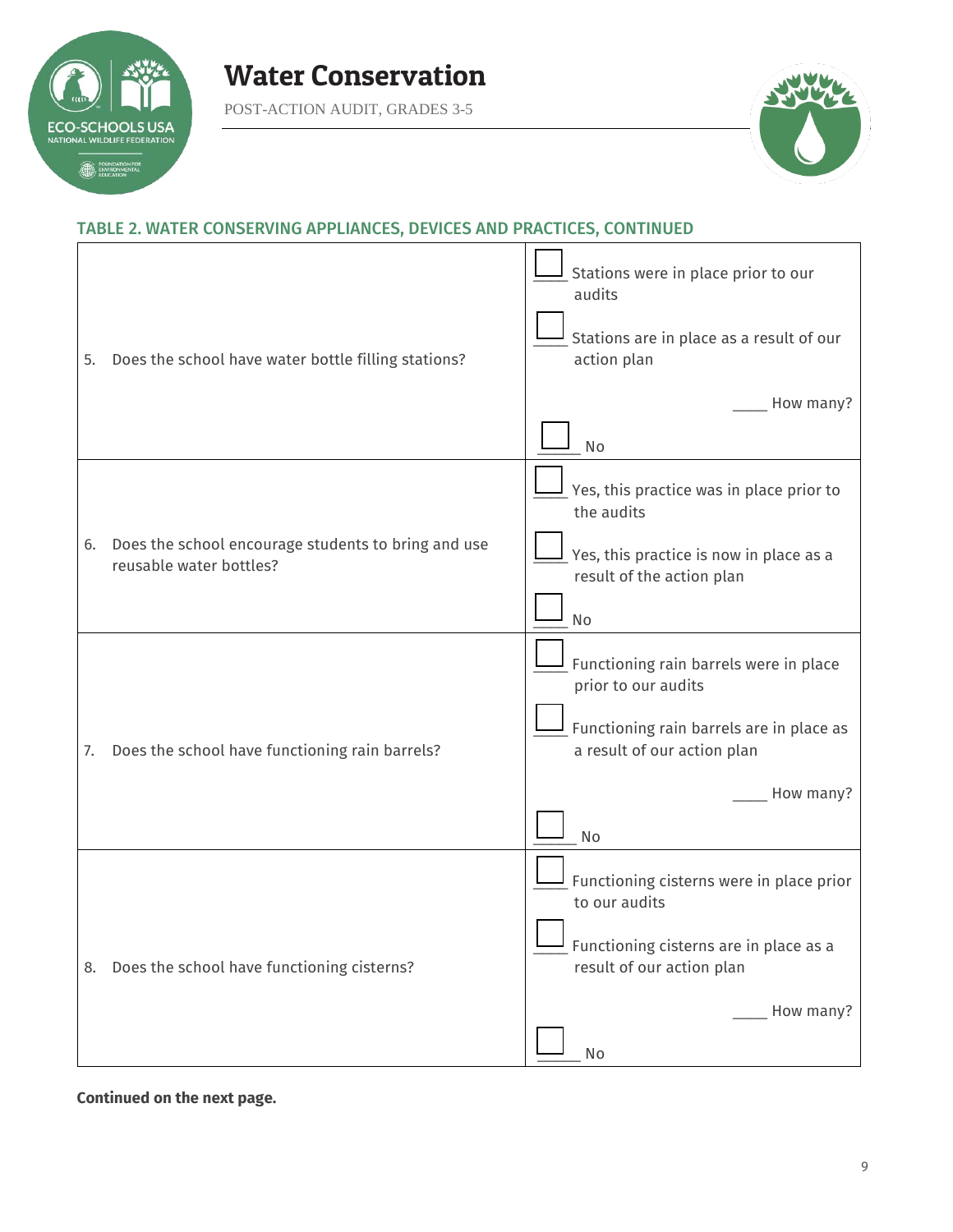

POST-ACTION AUDIT, GRADES 3-5



### TABLE 2. WATER CONSERVING APPLIANCES, DEVICES AND PRACTICES, CONTINUED

| 5. | Does the school have water bottle filling stations?                            | Stations were in place prior to our<br>audits<br>Stations are in place as a result of our<br>action plan |
|----|--------------------------------------------------------------------------------|----------------------------------------------------------------------------------------------------------|
|    |                                                                                | How many?<br>No                                                                                          |
|    |                                                                                | Yes, this practice was in place prior to<br>the audits                                                   |
| 6. | Does the school encourage students to bring and use<br>reusable water bottles? | Yes, this practice is now in place as a<br>result of the action plan                                     |
|    |                                                                                | No                                                                                                       |
|    |                                                                                | Functioning rain barrels were in place<br>prior to our audits                                            |
| 7. | Does the school have functioning rain barrels?                                 | Functioning rain barrels are in place as<br>a result of our action plan                                  |
|    |                                                                                | How many?                                                                                                |
|    |                                                                                | No                                                                                                       |
|    |                                                                                | Functioning cisterns were in place prior<br>to our audits                                                |
|    | 8. Does the school have functioning cisterns?                                  | <b>II</b> Functioning cisterns are in place as a<br>result of our action plan                            |
|    |                                                                                | How many?                                                                                                |
|    |                                                                                | No                                                                                                       |

**Continued on the next page.**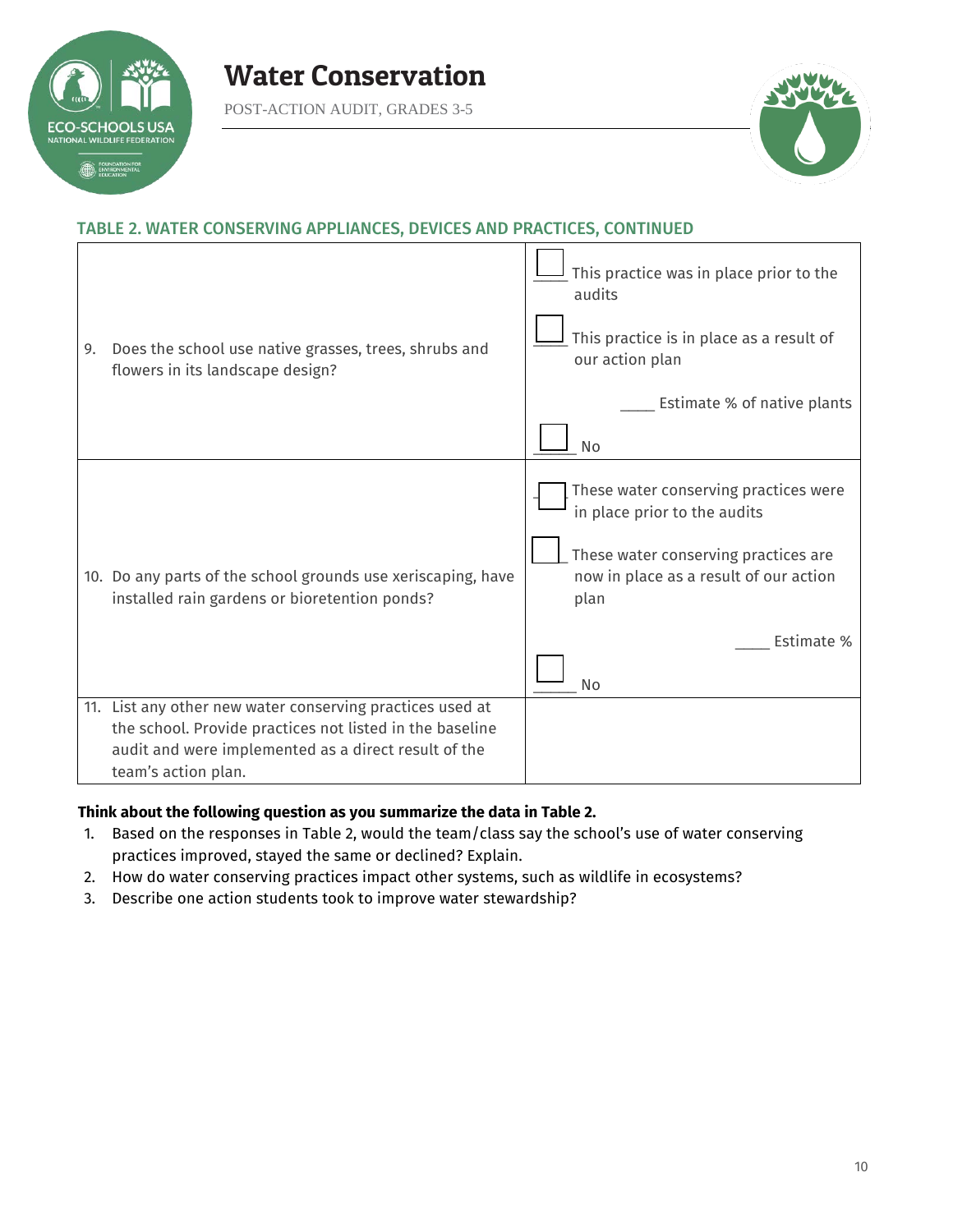

POST-ACTION AUDIT, GRADES 3-5



## TABLE 2. WATER CONSERVING APPLIANCES, DEVICES AND PRACTICES, CONTINUED

| 9. | Does the school use native grasses, trees, shrubs and<br>flowers in its landscape design?                                                                                                            | This practice was in place prior to the<br>audits<br>This practice is in place as a result of<br>our action plan<br>Estimate % of native plants<br><b>No</b>                        |
|----|------------------------------------------------------------------------------------------------------------------------------------------------------------------------------------------------------|-------------------------------------------------------------------------------------------------------------------------------------------------------------------------------------|
|    | 10. Do any parts of the school grounds use xeriscaping, have<br>installed rain gardens or bioretention ponds?                                                                                        | These water conserving practices were<br>in place prior to the audits<br>These water conserving practices are<br>now in place as a result of our action<br>plan<br>Estimate %<br>No |
|    | 11. List any other new water conserving practices used at<br>the school. Provide practices not listed in the baseline<br>audit and were implemented as a direct result of the<br>team's action plan. |                                                                                                                                                                                     |

### **Think about the following question as you summarize the data in Table 2.**

- 1. Based on the responses in Table 2, would the team/class say the school's use of water conserving practices improved, stayed the same or declined? Explain.
- 2. How do water conserving practices impact other systems, such as wildlife in ecosystems?
- 3. Describe one action students took to improve water stewardship?